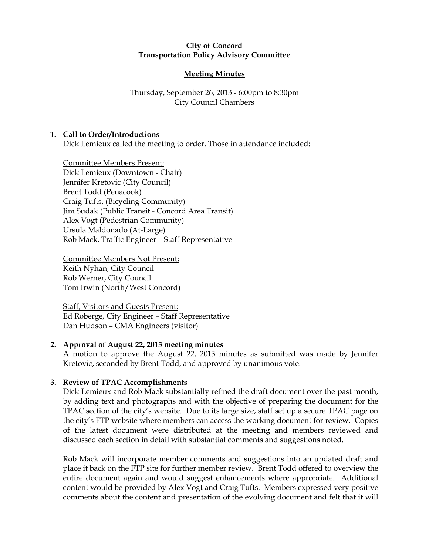#### City of Concord Transportation Policy Advisory Committee

# Meeting Minutes

## Thursday, September 26, 2013 - 6:00pm to 8:30pm City Council Chambers

## 1. Call to Order/Introductions

Dick Lemieux called the meeting to order. Those in attendance included:

Committee Members Present: Dick Lemieux (Downtown - Chair) Jennifer Kretovic (City Council) Brent Todd (Penacook) Craig Tufts, (Bicycling Community) Jim Sudak (Public Transit - Concord Area Transit) Alex Vogt (Pedestrian Community) Ursula Maldonado (At-Large) Rob Mack, Traffic Engineer – Staff Representative

Committee Members Not Present: Keith Nyhan, City Council Rob Werner, City Council Tom Irwin (North/West Concord)

Staff, Visitors and Guests Present: Ed Roberge, City Engineer – Staff Representative Dan Hudson – CMA Engineers (visitor)

#### 2. Approval of August 22, 2013 meeting minutes

A motion to approve the August 22, 2013 minutes as submitted was made by Jennifer Kretovic, seconded by Brent Todd, and approved by unanimous vote.

## 3. Review of TPAC Accomplishments

Dick Lemieux and Rob Mack substantially refined the draft document over the past month, by adding text and photographs and with the objective of preparing the document for the TPAC section of the city's website. Due to its large size, staff set up a secure TPAC page on the city's FTP website where members can access the working document for review. Copies of the latest document were distributed at the meeting and members reviewed and discussed each section in detail with substantial comments and suggestions noted.

Rob Mack will incorporate member comments and suggestions into an updated draft and place it back on the FTP site for further member review. Brent Todd offered to overview the entire document again and would suggest enhancements where appropriate. Additional content would be provided by Alex Vogt and Craig Tufts. Members expressed very positive comments about the content and presentation of the evolving document and felt that it will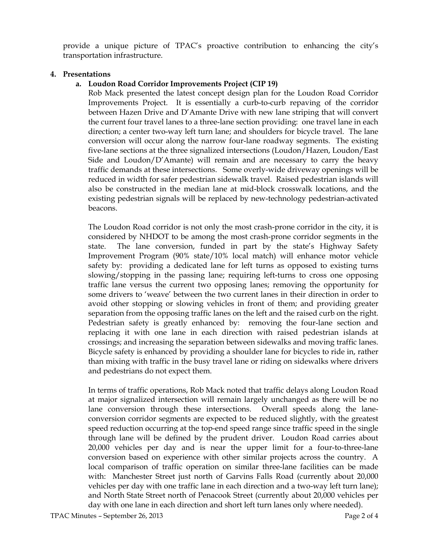provide a unique picture of TPAC's proactive contribution to enhancing the city's transportation infrastructure.

#### 4. Presentations

## a. Loudon Road Corridor Improvements Project (CIP 19)

Rob Mack presented the latest concept design plan for the Loudon Road Corridor Improvements Project. It is essentially a curb-to-curb repaving of the corridor between Hazen Drive and D'Amante Drive with new lane striping that will convert the current four travel lanes to a three-lane section providing: one travel lane in each direction; a center two-way left turn lane; and shoulders for bicycle travel. The lane conversion will occur along the narrow four-lane roadway segments. The existing five-lane sections at the three signalized intersections (Loudon/Hazen, Loudon/East Side and Loudon/ $D'$ Amante) will remain and are necessary to carry the heavy traffic demands at these intersections. Some overly-wide driveway openings will be reduced in width for safer pedestrian sidewalk travel. Raised pedestrian islands will also be constructed in the median lane at mid-block crosswalk locations, and the existing pedestrian signals will be replaced by new-technology pedestrian-activated beacons.

The Loudon Road corridor is not only the most crash-prone corridor in the city, it is considered by NHDOT to be among the most crash-prone corridor segments in the state. The lane conversion, funded in part by the state's Highway Safety Improvement Program (90% state/10% local match) will enhance motor vehicle safety by: providing a dedicated lane for left turns as opposed to existing turns slowing/stopping in the passing lane; requiring left-turns to cross one opposing traffic lane versus the current two opposing lanes; removing the opportunity for some drivers to 'weave' between the two current lanes in their direction in order to avoid other stopping or slowing vehicles in front of them; and providing greater separation from the opposing traffic lanes on the left and the raised curb on the right. Pedestrian safety is greatly enhanced by: removing the four-lane section and replacing it with one lane in each direction with raised pedestrian islands at crossings; and increasing the separation between sidewalks and moving traffic lanes. Bicycle safety is enhanced by providing a shoulder lane for bicycles to ride in, rather than mixing with traffic in the busy travel lane or riding on sidewalks where drivers and pedestrians do not expect them.

In terms of traffic operations, Rob Mack noted that traffic delays along Loudon Road at major signalized intersection will remain largely unchanged as there will be no lane conversion through these intersections. Overall speeds along the laneconversion corridor segments are expected to be reduced slightly, with the greatest speed reduction occurring at the top-end speed range since traffic speed in the single through lane will be defined by the prudent driver. Loudon Road carries about 20,000 vehicles per day and is near the upper limit for a four-to-three-lane conversion based on experience with other similar projects across the country. A local comparison of traffic operation on similar three-lane facilities can be made with: Manchester Street just north of Garvins Falls Road (currently about 20,000 vehicles per day with one traffic lane in each direction and a two-way left turn lane); and North State Street north of Penacook Street (currently about 20,000 vehicles per day with one lane in each direction and short left turn lanes only where needed).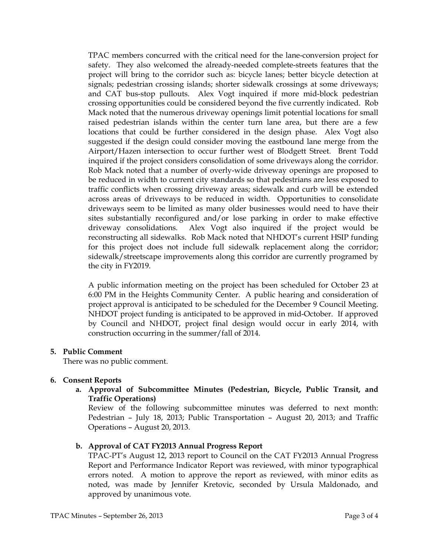TPAC members concurred with the critical need for the lane-conversion project for safety. They also welcomed the already-needed complete-streets features that the project will bring to the corridor such as: bicycle lanes; better bicycle detection at signals; pedestrian crossing islands; shorter sidewalk crossings at some driveways; and CAT bus-stop pullouts. Alex Vogt inquired if more mid-block pedestrian crossing opportunities could be considered beyond the five currently indicated. Rob Mack noted that the numerous driveway openings limit potential locations for small raised pedestrian islands within the center turn lane area, but there are a few locations that could be further considered in the design phase. Alex Vogt also suggested if the design could consider moving the eastbound lane merge from the Airport/Hazen intersection to occur further west of Blodgett Street. Brent Todd inquired if the project considers consolidation of some driveways along the corridor. Rob Mack noted that a number of overly-wide driveway openings are proposed to be reduced in width to current city standards so that pedestrians are less exposed to traffic conflicts when crossing driveway areas; sidewalk and curb will be extended across areas of driveways to be reduced in width. Opportunities to consolidate driveways seem to be limited as many older businesses would need to have their sites substantially reconfigured and/or lose parking in order to make effective driveway consolidations. Alex Vogt also inquired if the project would be reconstructing all sidewalks. Rob Mack noted that NHDOT's current HSIP funding for this project does not include full sidewalk replacement along the corridor; sidewalk/streetscape improvements along this corridor are currently programed by the city in FY2019.

A public information meeting on the project has been scheduled for October 23 at 6:00 PM in the Heights Community Center. A public hearing and consideration of project approval is anticipated to be scheduled for the December 9 Council Meeting. NHDOT project funding is anticipated to be approved in mid-October. If approved by Council and NHDOT, project final design would occur in early 2014, with construction occurring in the summer/fall of 2014.

## 5. Public Comment

There was no public comment.

## 6. Consent Reports

a. Approval of Subcommittee Minutes (Pedestrian, Bicycle, Public Transit, and Traffic Operations)

Review of the following subcommittee minutes was deferred to next month: Pedestrian – July 18, 2013; Public Transportation – August 20, 2013; and Traffic Operations – August 20, 2013.

## b. Approval of CAT FY2013 Annual Progress Report

TPAC-PT's August 12, 2013 report to Council on the CAT FY2013 Annual Progress Report and Performance Indicator Report was reviewed, with minor typographical errors noted. A motion to approve the report as reviewed, with minor edits as noted, was made by Jennifer Kretovic, seconded by Ursula Maldonado, and approved by unanimous vote.